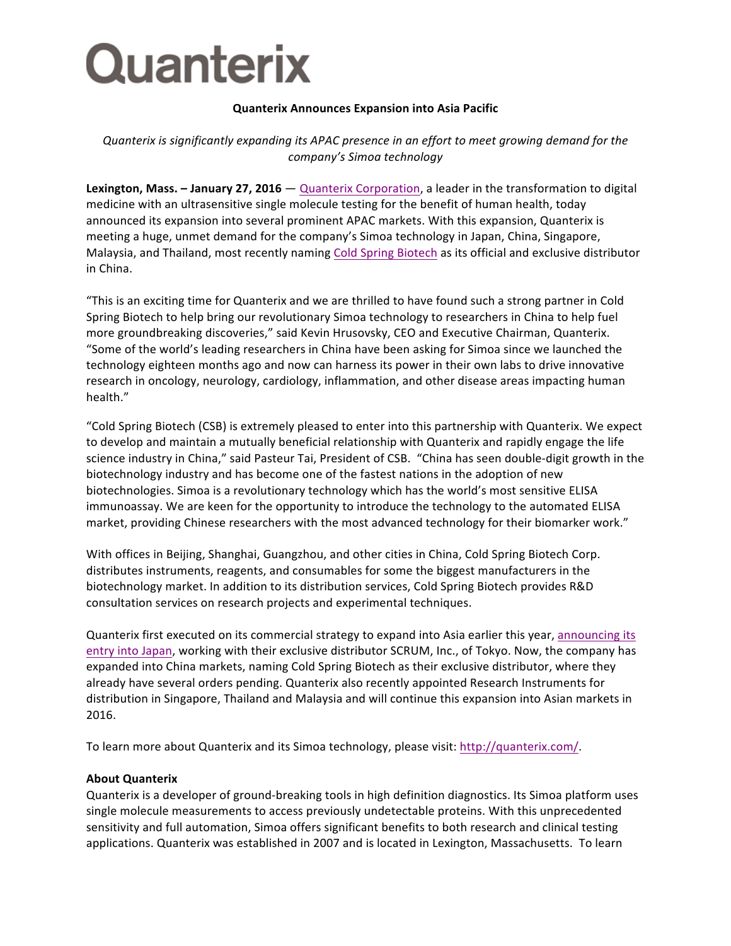

## **Quanterix Announces Expansion into Asia Pacific**

## *Quanterix* is significantly expanding its APAC presence in an effort to meet growing demand for the *company's Simoa technology*

**Lexington, Mass. - January 27, 2016** — Quanterix Corporation, a leader in the transformation to digital medicine with an ultrasensitive single molecule testing for the benefit of human health, today announced its expansion into several prominent APAC markets. With this expansion, Quanterix is meeting a huge, unmet demand for the company's Simoa technology in Japan, China, Singapore, Malaysia, and Thailand, most recently naming Cold Spring Biotech as its official and exclusive distributor in China. 

"This is an exciting time for Quanterix and we are thrilled to have found such a strong partner in Cold Spring Biotech to help bring our revolutionary Simoa technology to researchers in China to help fuel more groundbreaking discoveries," said Kevin Hrusovsky, CEO and Executive Chairman, Quanterix. "Some of the world's leading researchers in China have been asking for Simoa since we launched the technology eighteen months ago and now can harness its power in their own labs to drive innovative research in oncology, neurology, cardiology, inflammation, and other disease areas impacting human health."

"Cold Spring Biotech (CSB) is extremely pleased to enter into this partnership with Quanterix. We expect to develop and maintain a mutually beneficial relationship with Quanterix and rapidly engage the life science industry in China," said Pasteur Tai, President of CSB. "China has seen double-digit growth in the biotechnology industry and has become one of the fastest nations in the adoption of new biotechnologies. Simoa is a revolutionary technology which has the world's most sensitive ELISA immunoassay. We are keen for the opportunity to introduce the technology to the automated ELISA market, providing Chinese researchers with the most advanced technology for their biomarker work."

With offices in Beijing, Shanghai, Guangzhou, and other cities in China, Cold Spring Biotech Corp. distributes instruments, reagents, and consumables for some the biggest manufacturers in the biotechnology market. In addition to its distribution services, Cold Spring Biotech provides R&D consultation services on research projects and experimental techniques.

Quanterix first executed on its commercial strategy to expand into Asia earlier this year, announcing its entry into Japan, working with their exclusive distributor SCRUM, Inc., of Tokyo. Now, the company has expanded into China markets, naming Cold Spring Biotech as their exclusive distributor, where they already have several orders pending. Quanterix also recently appointed Research Instruments for distribution in Singapore, Thailand and Malaysia and will continue this expansion into Asian markets in 2016. 

To learn more about Quanterix and its Simoa technology, please visit: http://quanterix.com/.

## **About Quanterix**

Quanterix is a developer of ground-breaking tools in high definition diagnostics. Its Simoa platform uses single molecule measurements to access previously undetectable proteins. With this unprecedented sensitivity and full automation, Simoa offers significant benefits to both research and clinical testing applications. Quanterix was established in 2007 and is located in Lexington, Massachusetts. To learn